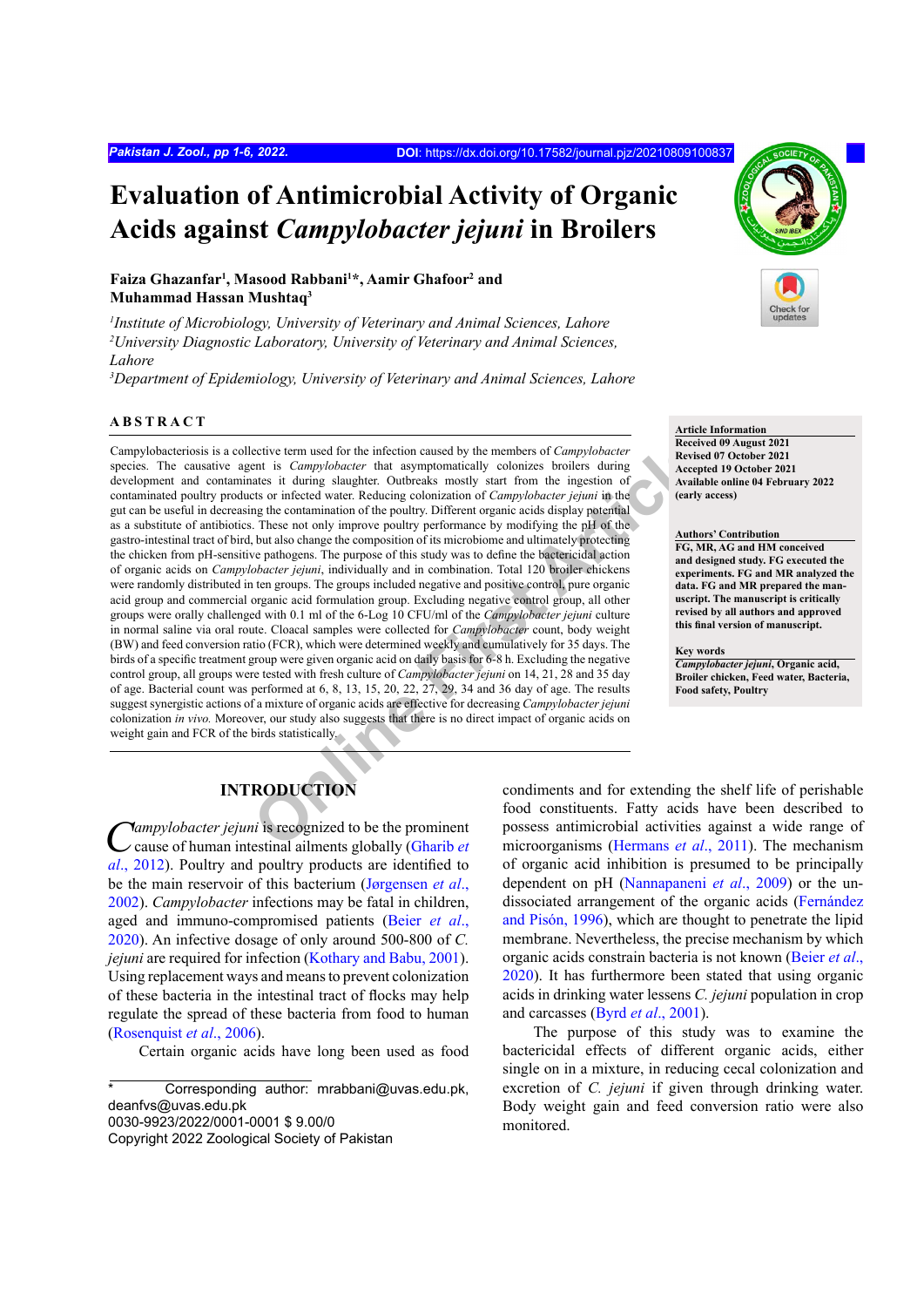# **Evaluation of Antimicrobial Activity of Organic Acids against** *Campylobacter jejuni* **in Broilers**

## Faiza Ghazanfar<sup>1</sup>, Masood Rabbani<sup>1\*</sup>, Aamir Ghafoor<sup>2</sup> and **Muhammad Hassan Mushtaq3**

*1 Institute of Microbiology, University of Veterinary and Animal Sciences, Lahore 2 University Diagnostic Laboratory, University of Veterinary and Animal Sciences, Lahore* 

*3 Department of Epidemiology, University of Veterinary and Animal Sciences, Lahore*

#### **ABSTRACT**

ective term used for the infection caused by the members of *Campylobacter*<br>
net is *Campylobacter* that asymptomatically colonizes broilers during<br>
that is *Campylobacter* in the ingestion of<br>
tasks it during slaughter. O Campylobacteriosis is a collective term used for the infection caused by the members of *Campylobacter*  species. The causative agent is *Campylobacter* that asymptomatically colonizes broilers during development and contaminates it during slaughter. Outbreaks mostly start from the ingestion of contaminated poultry products or infected water. Reducing colonization of *Campylobacter jejuni* in the gut can be useful in decreasing the contamination of the poultry. Different organic acids display potential as a substitute of antibiotics. These not only improve poultry performance by modifying the pH of the gastro-intestinal tract of bird, but also change the composition of its microbiome and ultimately protecting the chicken from pH-sensitive pathogens. The purpose of this study was to define the bactericidal action of organic acids on *Campylobacter jejuni*, individually and in combination. Total 120 broiler chickens were randomly distributed in ten groups. The groups included negative and positive control, pure organic acid group and commercial organic acid formulation group. Excluding negative control group, all other groups were orally challenged with 0.1 ml of the 6-Log 10 CFU/ml of the *Campylobacter jejuni* culture in normal saline via oral route. Cloacal samples were collected for *Campylobacter* count, body weight (BW) and feed conversion ratio (FCR), which were determined weekly and cumulatively for 35 days. The birds of a specific treatment group were given organic acid on daily basis for 6-8 h. Excluding the negative control group, all groups were tested with fresh culture of *Campylobacter jejuni* on 14, 21, 28 and 35 day of age. Bacterial count was performed at 6, 8, 13, 15, 20, 22, 27, 29, 34 and 36 day of age. The results suggest synergistic actions of a mixture of organic acids are effective for decreasing *Campylobacter jejuni*  colonization *in vivo.* Moreover, our study also suggests that there is no direct impact of organic acids on weight gain and FCR of the birds statistically.

#### **Article Information**

**Received 09 August 2021 Revised 07 October 2021 Accepted 19 October 2021 Available online 04 February 2022 (early access)**

#### **Authors' Contribution**

**FG, MR, AG and HM conceived and designed study. FG executed the experiments. FG and MR analyzed the data. FG and MR prepared the manuscript. The manuscript is critically revised by all authors and approved this final version of manuscript.**

**Key words** *Campylobacter jejuni***, Organic acid, Broiler chicken, Feed water, Bacteria, Food safety, Poultry**

# **INTRODUCTION**

*Campylobacter jejuni* is recognized to be the prominent cause of human intestinal ailments globally (Gharib *et al*[., 2012](#page-5-0)). Poultry and poultry products are identified to be the main reservoir of this bacterium (Jørgensen *et al*., 2002). *Campylobacter* infections may be fatal in children, aged and immuno-compromised patients ([Beier](#page-4-0) *et al*., [2020](#page-4-0)). An infective dosage of only around 500-800 of *C. jejuni* are required for infection [\(Kothary and Babu, 2001](#page-5-1)). Using replacement ways and means to prevent colonization of these bacteria in the intestinal tract of flocks may help regulate the spread of these bacteria from food to human (Rosenquist *et al*., 2006).

Certain organic acids have long been used as food

condiments and for extending the shelf life of perishable food constituents. Fatty acids have been described to possess antimicrobial activities against a wide range of microorganisms (Hermans *et al*., 2011). The mechanism of organic acid inhibition is presumed to be principally dependent on pH (Nannapaneni *et al*., 2009) or the undissociated arrangement of the organic acids (Fernández and Pisón, 1996), which are thought to penetrate the lipid membrane. Nevertheless, the precise mechanism by which organic acids constrain bacteria is not known ([Beier](#page-4-0) *et al*., [2020\)](#page-4-0). It has furthermore been stated that using organic acids in drinking water lessens *C. jejuni* population in crop and carcasses (Byrd *et al*., 2001).

The purpose of this study was to examine the bactericidal effects of different organic acids, either single on in a mixture, in reducing cecal colonization and excretion of *C. jejuni* if given through drinking water. Body weight gain and feed conversion ratio were also monitored.

Corresponding author: mrabbani@uvas.edu.pk, deanfvs@uvas.edu.pk 0030-9923/2022/0001-0001 \$ 9.00/0

Copyright 2022 Zoological Society of Pakistan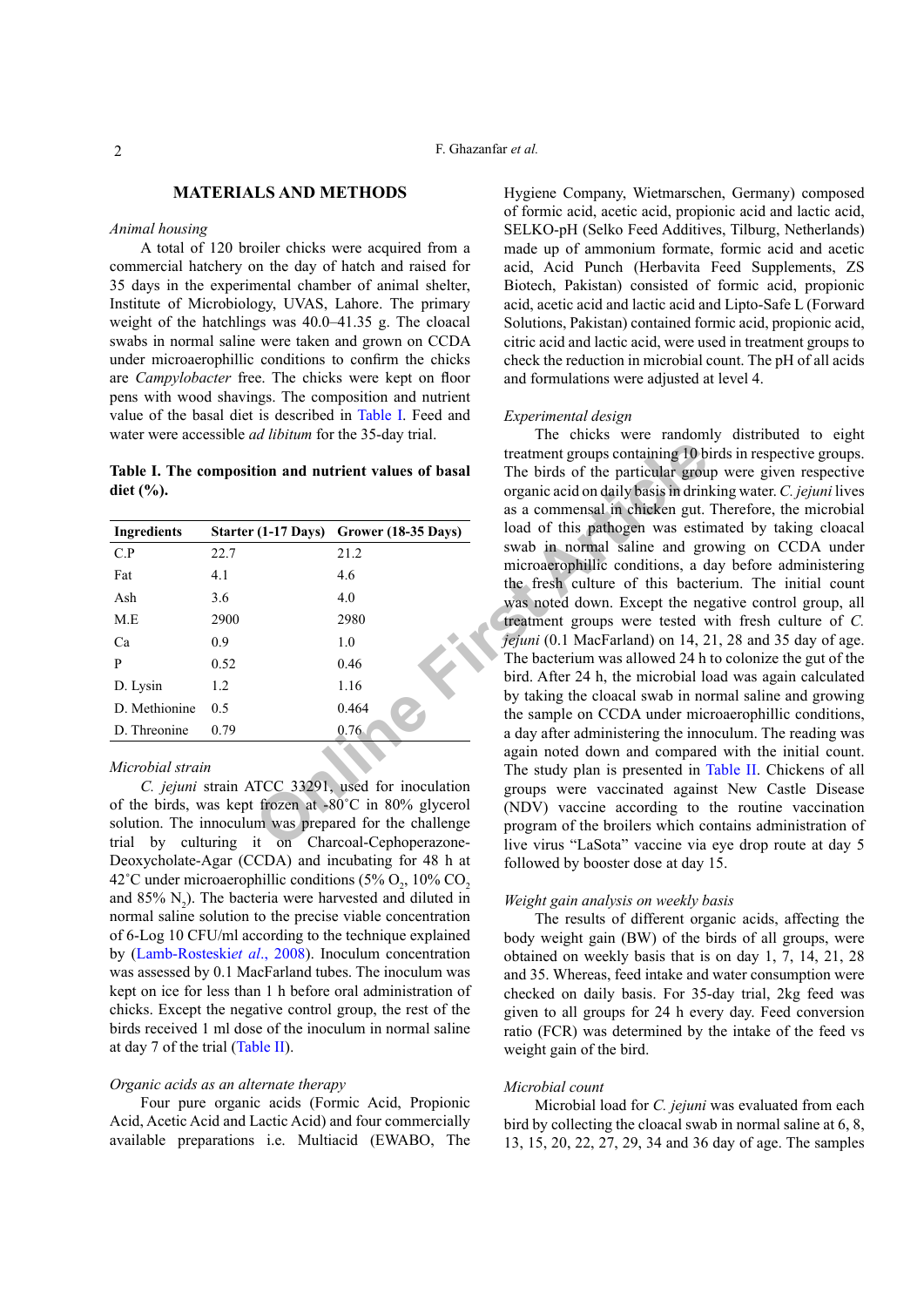# **MATERIALS AND METHODS**

#### *Animal housing*

# A total of 120 broiler chicks were acquired from a commercial hatchery on the day of hatch and raised for 35 days in the experimental chamber of animal shelter, Institute of Microbiology, UVAS, Lahore. The primary weight of the hatchlings was 40.0–41.35 g. The cloacal swabs in normal saline were taken and grown on CCDA under microaerophillic conditions to confirm the chicks are *Campylobacter* free. The chicks were kept on floor pens with wood shavings. The composition and nutrient value of the basal diet is described in [Table I](#page-1-0). Feed and water were accessible *ad libitum* for the 35-day trial.

# <span id="page-1-0"></span>**Table I. The composition and nutrient values of basal diet (%).**

| <b>Ingredients</b> |      | Starter (1-17 Days) Grower (18-35 Days) |
|--------------------|------|-----------------------------------------|
| C.P                | 22.7 | 21.2                                    |
| Fat                | 4.1  | 4.6                                     |
| Ash                | 3.6  | 4.0                                     |
| M.E                | 2900 | 2980                                    |
| Ca                 | 0.9  | 1.0                                     |
| P                  | 0.52 | 0.46                                    |
| D. Lysin           | 1.2  | 1.16                                    |
| D. Methionine      | 0.5  | 0.464                                   |
| D. Threonine       | 0.79 | 0.76                                    |
|                    |      |                                         |

#### *Microbial strain*

*C. jejuni* strain ATCC 33291, used for inoculation of the birds, was kept frozen at -80˚C in 80% glycerol solution. The innoculum was prepared for the challenge trial by culturing it on Charcoal-Cephoperazone-Deoxycholate-Agar (CCDA) and incubating for 48 h at 42°C under microaerophillic conditions (5%  $O_2$ , 10%  $CO_2$ ) and  $85\%$  N<sub>2</sub>). The bacteria were harvested and diluted in normal saline solution to the precise viable concentration of 6-Log 10 CFU/ml according to the technique explained by ([Lamb-Rosteski](#page-5-2)*et al*., 2008). Inoculum concentration was assessed by 0.1 MacFarland tubes. The inoculum was kept on ice for less than 1 h before oral administration of chicks. Except the negative control group, the rest of the birds received 1 ml dose of the inoculum in normal saline at day 7 of the trial ([Table II\)](#page-2-0).

#### *Organic acids as an alternate therapy*

Four pure organic acids (Formic Acid, Propionic Acid, Acetic Acid and Lactic Acid) and four commercially available preparations i.e. Multiacid (EWABO, The Hygiene Company, Wietmarschen, Germany) composed of formic acid, acetic acid, propionic acid and lactic acid, SELKO-pH (Selko Feed Additives, Tilburg, Netherlands) made up of ammonium formate, formic acid and acetic acid, Acid Punch (Herbavita Feed Supplements, ZS Biotech, Pakistan) consisted of formic acid, propionic acid, acetic acid and lactic acid and Lipto-Safe L (Forward Solutions, Pakistan) contained formic acid, propionic acid, citric acid and lactic acid, were used in treatment groups to check the reduction in microbial count. The pH of all acids and formulations were adjusted at level 4.

#### *Experimental design*

Free the contribution and nutrient values of basal<br>
The birds of the particular group<br>
organic acid on daily basis in drining<br>
organic acid on daily basis in drining<br>  $\begin{array}{r} (1-17 \text{ days}) \text{ Grouver (18-35 Days)} \\ \text{0.46} \\ 4.0 \\ 2.980 \\$ The chicks were randomly distributed to eight treatment groups containing 10 birds in respective groups. The birds of the particular group were given respective organic acid on daily basis in drinking water. *C. jejuni* lives as a commensal in chicken gut. Therefore, the microbial load of this pathogen was estimated by taking cloacal swab in normal saline and growing on CCDA under microaerophillic conditions, a day before administering the fresh culture of this bacterium. The initial count was noted down. Except the negative control group, all treatment groups were tested with fresh culture of *C. jejuni* (0.1 MacFarland) on 14, 21, 28 and 35 day of age. The bacterium was allowed 24 h to colonize the gut of the bird. After 24 h, the microbial load was again calculated by taking the cloacal swab in normal saline and growing the sample on CCDA under microaerophillic conditions, a day after administering the innoculum. The reading was again noted down and compared with the initial count. The study plan is presented in [Table II.](#page-2-0) Chickens of all groups were vaccinated against New Castle Disease (NDV) vaccine according to the routine vaccination program of the broilers which contains administration of live virus "LaSota" vaccine via eye drop route at day 5 followed by booster dose at day 15.

#### *Weight gain analysis on weekly basis*

The results of different organic acids, affecting the body weight gain (BW) of the birds of all groups, were obtained on weekly basis that is on day 1, 7, 14, 21, 28 and 35. Whereas, feed intake and water consumption were checked on daily basis. For 35-day trial, 2kg feed was given to all groups for 24 h every day. Feed conversion ratio (FCR) was determined by the intake of the feed vs weight gain of the bird.

#### *Microbial count*

Microbial load for *C. jejuni* was evaluated from each bird by collecting the cloacal swab in normal saline at 6, 8, 13, 15, 20, 22, 27, 29, 34 and 36 day of age. The samples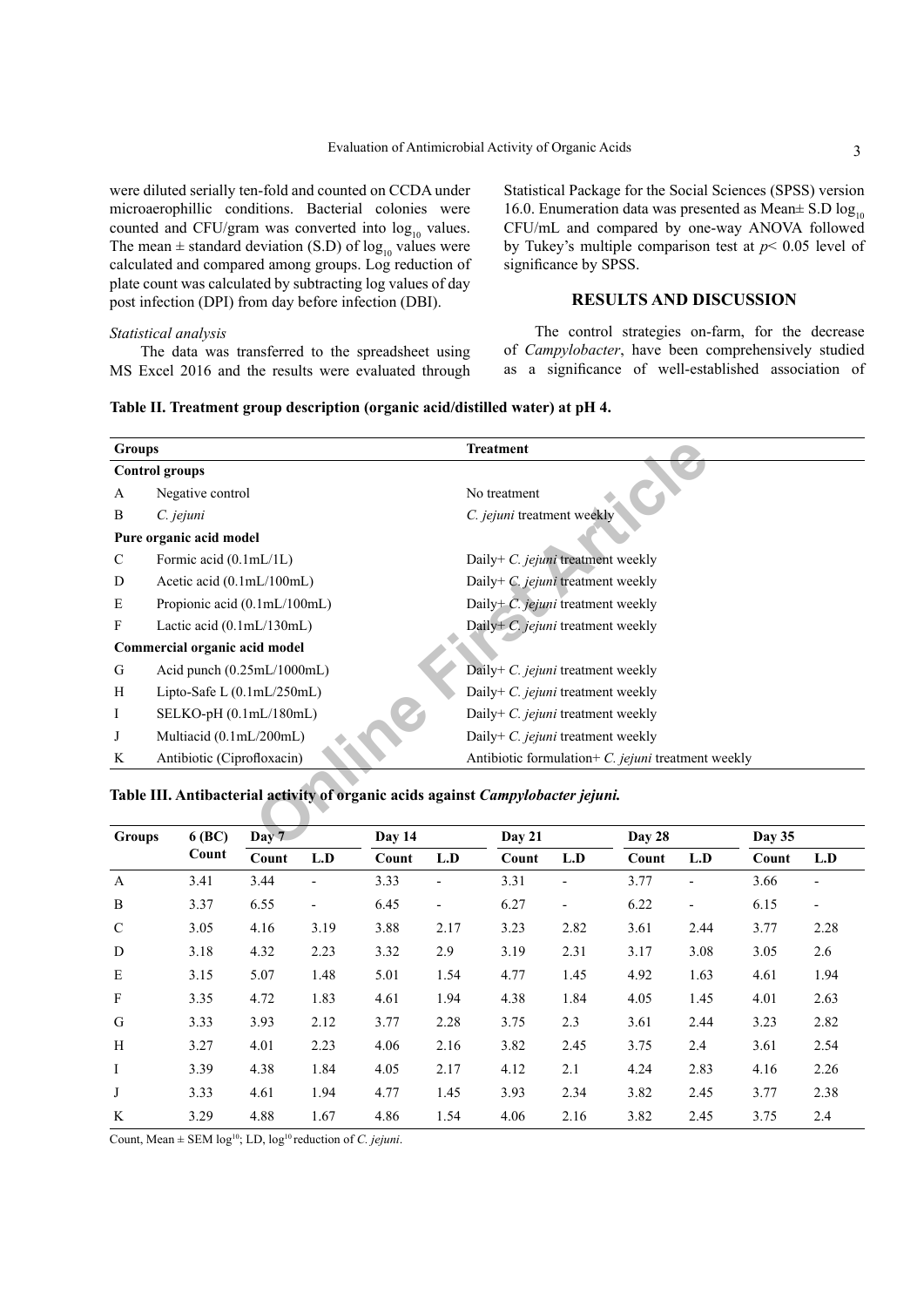were diluted serially ten-fold and counted on CCDA under microaerophillic conditions. Bacterial colonies were counted and CFU/gram was converted into  $log_{10}$  values. The mean  $\pm$  standard deviation (S.D) of  $\log_{10}$  values were calculated and compared among groups. Log reduction of plate count was calculated by subtracting log values of day post infection (DPI) from day before infection (DBI).

*Statistical analysis*

The data was transferred to the spreadsheet using MS Excel 2016 and the results were evaluated through

Statistical Package for the Social Sciences (SPSS) version 16.0. Enumeration data was presented as Mean $\pm$  S.D log<sub>10</sub> CFU/mL and compared by one-way ANOVA followed by Tukey's multiple comparison test at *p*< 0.05 level of significance by SPSS.

# **RESULTS AND DISCUSSION**

The control strategies on-farm, for the decrease of *Campylobacter*, have been comprehensively studied as a significance of well-established association of

<span id="page-2-0"></span>

| Table II. Treatment group description (organic acid/distilled water) at pH 4. |  |  |  |
|-------------------------------------------------------------------------------|--|--|--|
|-------------------------------------------------------------------------------|--|--|--|

| <b>Groups</b> |                                                                                  |        | <b>Treatment</b>                                   |                                      |               |  |  |  |  |
|---------------|----------------------------------------------------------------------------------|--------|----------------------------------------------------|--------------------------------------|---------------|--|--|--|--|
|               | <b>Control groups</b>                                                            |        |                                                    |                                      |               |  |  |  |  |
| A             | Negative control                                                                 |        | No treatment                                       |                                      |               |  |  |  |  |
| B             | C. jejuni                                                                        |        | C. jejuni treatment weekly                         |                                      |               |  |  |  |  |
|               | Pure organic acid model                                                          |        |                                                    |                                      |               |  |  |  |  |
| C             | Formic acid $(0.1mL/1L)$                                                         |        | Daily+ C. jejuni treatment weekly                  |                                      |               |  |  |  |  |
| D             | Acetic acid $(0.1mL/100mL)$                                                      |        | Daily+ C. jejuni treatment weekly                  |                                      |               |  |  |  |  |
| E             | Propionic acid $(0.1mL/100mL)$                                                   |        |                                                    | Daily+ $C$ . jejuni treatment weekly |               |  |  |  |  |
| F             | Lactic acid $(0.1mL/130mL)$                                                      |        | Daily+ $C$ . jejuni treatment weekly               |                                      |               |  |  |  |  |
|               | Commercial organic acid model                                                    |        |                                                    |                                      |               |  |  |  |  |
| G             | Acid punch $(0.25 \text{m}L/1000 \text{m}L)$                                     |        | Daily+ C. jejuni treatment weekly                  |                                      |               |  |  |  |  |
| H             | Lipto-Safe L $(0.1mL/250mL)$                                                     |        | Daily+ $C$ . <i>jejuni</i> treatment weekly        |                                      |               |  |  |  |  |
| Ι             | SELKO-pH (0.1mL/180mL)                                                           |        | Daily+ $C$ . jejuni treatment weekly               |                                      |               |  |  |  |  |
| J             | Multiacid (0.1mL/200mL)                                                          |        | Daily+ $C$ . jejuni treatment weekly               |                                      |               |  |  |  |  |
| K             | Antibiotic (Ciprofloxacin)                                                       |        | Antibiotic formulation+ C. jejuni treatment weekly |                                      |               |  |  |  |  |
|               | Table III. Antibacterial activity of organic acids against Campylobacter jejuni. |        |                                                    |                                      |               |  |  |  |  |
| <b>Groups</b> | Day 7<br>6 (BC)                                                                  | Day 14 | Day 21                                             | Day 28                               | <b>Day 35</b> |  |  |  |  |

# <span id="page-2-1"></span>**Table III. Antibacterial activity of organic acids against** *Campylobacter jejuni.*

| <b>Groups</b> | $6$ (BC) | Day 7 |                              | Day 14 |                          |       | <b>Day 21</b>            |       | Day 28                   |       | Day 35                       |  |
|---------------|----------|-------|------------------------------|--------|--------------------------|-------|--------------------------|-------|--------------------------|-------|------------------------------|--|
|               | Count    | Count | L.D                          | Count  | L.D                      | Count | L.D                      | Count | L.D                      | Count | L.D                          |  |
| $\mathbf{A}$  | 3.41     | 3.44  | $\qquad \qquad \blacksquare$ | 3.33   | $\overline{\phantom{a}}$ | 3.31  |                          | 3.77  | $\overline{\phantom{a}}$ | 3.66  | $\overline{a}$               |  |
| B             | 3.37     | 6.55  | $\overline{\phantom{a}}$     | 6.45   | $\overline{\phantom{m}}$ | 6.27  | $\overline{\phantom{a}}$ | 6.22  | $\overline{\phantom{a}}$ | 6.15  | $\qquad \qquad \blacksquare$ |  |
| $\mathcal{C}$ | 3.05     | 4.16  | 3.19                         | 3.88   | 2.17                     | 3.23  | 2.82                     | 3.61  | 2.44                     | 3.77  | 2.28                         |  |
| D             | 3.18     | 4.32  | 2.23                         | 3.32   | 2.9                      | 3.19  | 2.31                     | 3.17  | 3.08                     | 3.05  | 2.6                          |  |
| E             | 3.15     | 5.07  | 1.48                         | 5.01   | 1.54                     | 4.77  | 1.45                     | 4.92  | 1.63                     | 4.61  | 1.94                         |  |
| $\mathbf{F}$  | 3.35     | 4.72  | 1.83                         | 4.61   | 1.94                     | 4.38  | 1.84                     | 4.05  | 1.45                     | 4.01  | 2.63                         |  |
| G             | 3.33     | 3.93  | 2.12                         | 3.77   | 2.28                     | 3.75  | 2.3                      | 3.61  | 2.44                     | 3.23  | 2.82                         |  |
| H             | 3.27     | 4.01  | 2.23                         | 4.06   | 2.16                     | 3.82  | 2.45                     | 3.75  | 2.4                      | 3.61  | 2.54                         |  |
| $\bf{I}$      | 3.39     | 4.38  | 1.84                         | 4.05   | 2.17                     | 4.12  | 2.1                      | 4.24  | 2.83                     | 4.16  | 2.26                         |  |
| J             | 3.33     | 4.61  | 1.94                         | 4.77   | 1.45                     | 3.93  | 2.34                     | 3.82  | 2.45                     | 3.77  | 2.38                         |  |
| K             | 3.29     | 4.88  | 1.67                         | 4.86   | 1.54                     | 4.06  | 2.16                     | 3.82  | 2.45                     | 3.75  | 2.4                          |  |

Count, Mean  $\pm$  SEM log<sup>10</sup>; LD, log<sup>10</sup> reduction of *C. jejuni*.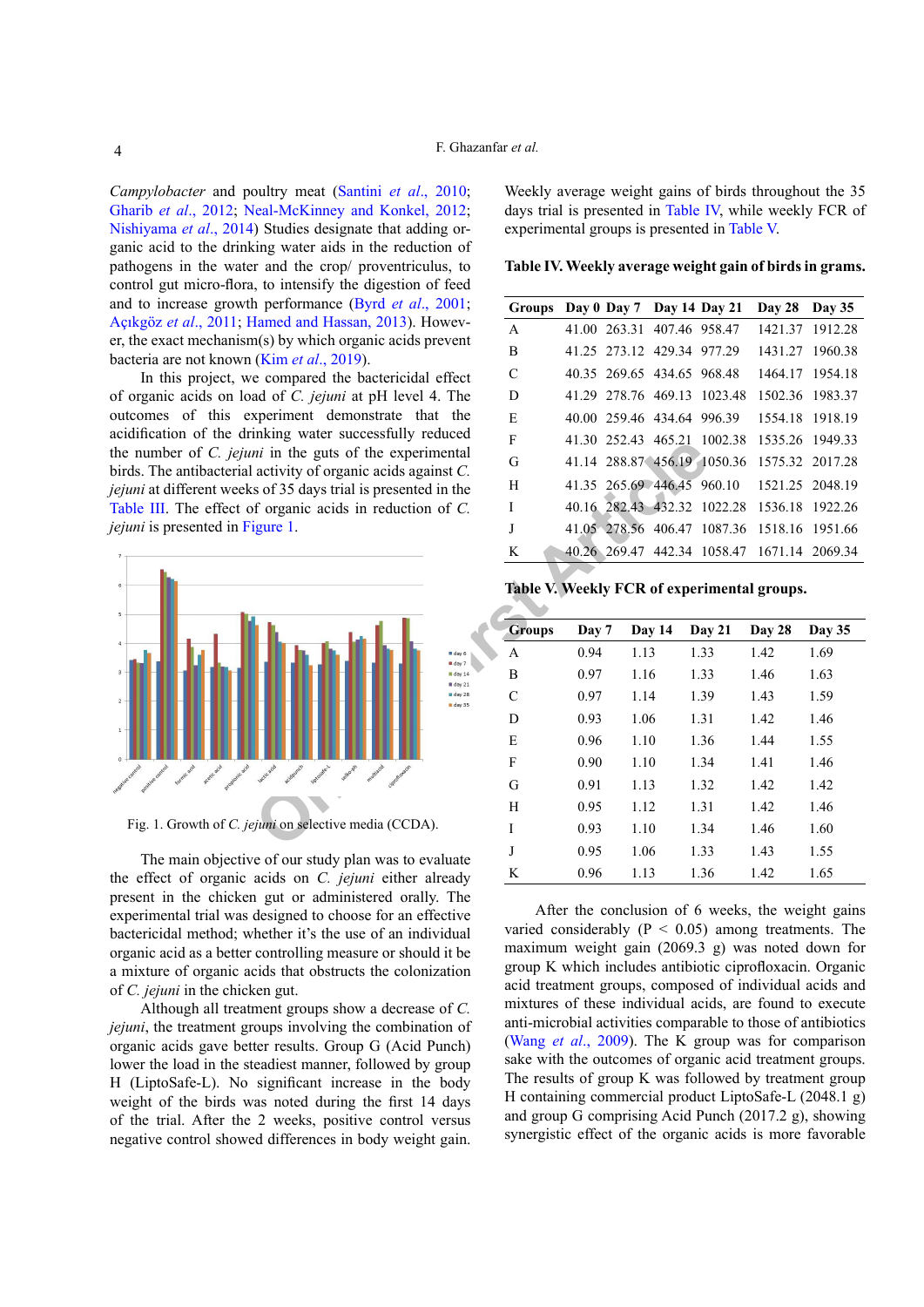*Campylobacter* and poultry meat (Santini *et al*., 2010; [Gharib](#page-5-0) *et al*., 2012; [Neal-McKinney and Konkel, 2012;](#page-5-3) [Nishiyama](#page-5-4) *et al*., 2014) Studies designate that adding organic acid to the drinking water aids in the reduction of pathogens in the water and the crop/ proventriculus, to control gut micro-flora, to intensify the digestion of feed and to increase growth performance (Byrd *et al*., 2001; Açıkgöz *et al*., 2011; [Hamed and Hassan, 2013](#page-5-5)). However, the exact mechanism(s) by which organic acids prevent bacteria are not known (Kim *et al*[., 2019](#page-5-6)).

In this project, we compared the bactericidal effect of organic acids on load of *C. jejuni* at pH level 4. The outcomes of this experiment demonstrate that the acidification of the drinking water successfully reduced the number of *C. jejuni* in the guts of the experimental birds. The antibacterial activity of organic acids against *C. jejuni* at different weeks of 35 days trial is presented in the [Table III.](#page-2-1) The effect of organic acids in reduction of *C. jejuni* is presented in Figure 1.



<span id="page-3-0"></span>Fig. 1. Growth of *C. jejuni* on selective media (CCDA).

The main objective of our study plan was to evaluate the effect of organic acids on *C. jejuni* either already present in the chicken gut or administered orally. The experimental trial was designed to choose for an effective bactericidal method; whether it's the use of an individual organic acid as a better controlling measure or should it be a mixture of organic acids that obstructs the colonization of *C. jejuni* in the chicken gut.

Although all treatment groups show a decrease of *C. jejuni*, the treatment groups involving the combination of organic acids gave better results. Group G (Acid Punch) lower the load in the steadiest manner, followed by group H (LiptoSafe-L). No significant increase in the body weight of the birds was noted during the first 14 days of the trial. After the 2 weeks, positive control versus negative control showed differences in body weight gain.

Weekly average weight gains of birds throughout the 35 days trial is presented in [Table IV,](#page-3-1) while weekly FCR of experimental groups is presented in [Table V.](#page-3-2)

<span id="page-3-1"></span>**Table IV. Weekly average weight gain of birds in grams.**

| <b>Groups</b> |  | Day 0 Day 7 Day 14 Day 21  |                                             | Day 28 Day 35   |                 |
|---------------|--|----------------------------|---------------------------------------------|-----------------|-----------------|
| A             |  | 41.00 263.31 407.46 958.47 |                                             |                 | 1421.37 1912.28 |
| B             |  | 41.25 273.12 429.34 977.29 |                                             |                 | 1431.27 1960.38 |
| $\mathcal{C}$ |  |                            | 40.35 269.65 434.65 968.48                  |                 | 1464.17 1954.18 |
| D             |  |                            | 41.29 278.76 469.13 1023.48                 |                 | 1502.36 1983.37 |
| E             |  | 40.00 259.46 434.64 996.39 |                                             |                 | 1554.18 1918.19 |
| F             |  |                            | 41.30 252.43 465.21 1002.38                 |                 | 1535.26 1949.33 |
| G             |  |                            | 41.14 288.87 456.19 1050.36                 | 1575.32 2017.28 |                 |
| H             |  | 41.35 265.69 446.45 960.10 |                                             |                 | 1521.25 2048.19 |
| T             |  |                            | 40.16 282.43 432.32 1022.28                 | 1536.18 1922.26 |                 |
| J             |  |                            | 41.05 278.56 406.47 1087.36                 |                 | 1518.16 1951.66 |
| K             |  |                            | 40.26 269.47 442.34 1058.47 1671.14 2069.34 |                 |                 |
|               |  |                            |                                             |                 |                 |

<span id="page-3-2"></span>**Table V. Weekly FCR of experimental groups.**

|  | <b>Groups</b> | Day 7 | Day 14 | Day 21 | Day 28 | Day 35 |  |
|--|---------------|-------|--------|--------|--------|--------|--|
|  | A             | 0.94  | 1.13   | 1.33   | 1.42   | 1.69   |  |
|  | B             | 0.97  | 1.16   | 1.33   | 1.46   | 1.63   |  |
|  | C             | 0.97  | 1.14   | 1.39   | 1.43   | 1.59   |  |
|  | D             | 0.93  | 1.06   | 1.31   | 1.42   | 1.46   |  |
|  | E             | 0.96  | 1.10   | 1.36   | 1.44   | 1.55   |  |
|  | F             | 0.90  | 1.10   | 1.34   | 1.41   | 1.46   |  |
|  | G             | 0.91  | 1.13   | 1.32   | 1.42   | 1.42   |  |
|  | H             | 0.95  | 1.12   | 1.31   | 1.42   | 1.46   |  |
|  | Ī             | 0.93  | 1.10   | 1.34   | 1.46   | 1.60   |  |
|  | J             | 0.95  | 1.06   | 1.33   | 1.43   | 1.55   |  |
|  | K             | 0.96  | 1.13   | 1.36   | 1.42   | 1.65   |  |

After the conclusion of 6 weeks, the weight gains varied considerably ( $P < 0.05$ ) among treatments. The maximum weight gain (2069.3 g) was noted down for group K which includes antibiotic ciprofloxacin. Organic acid treatment groups, composed of individual acids and mixtures of these individual acids, are found to execute anti-microbial activities comparable to those of antibiotics (Wang *et al*[., 2009](#page-5-7)). The K group was for comparison sake with the outcomes of organic acid treatment groups. The results of group K was followed by treatment group H containing commercial product LiptoSafe-L (2048.1 g) and group G comprising Acid Punch (2017.2 g), showing synergistic effect of the organic acids is more favorable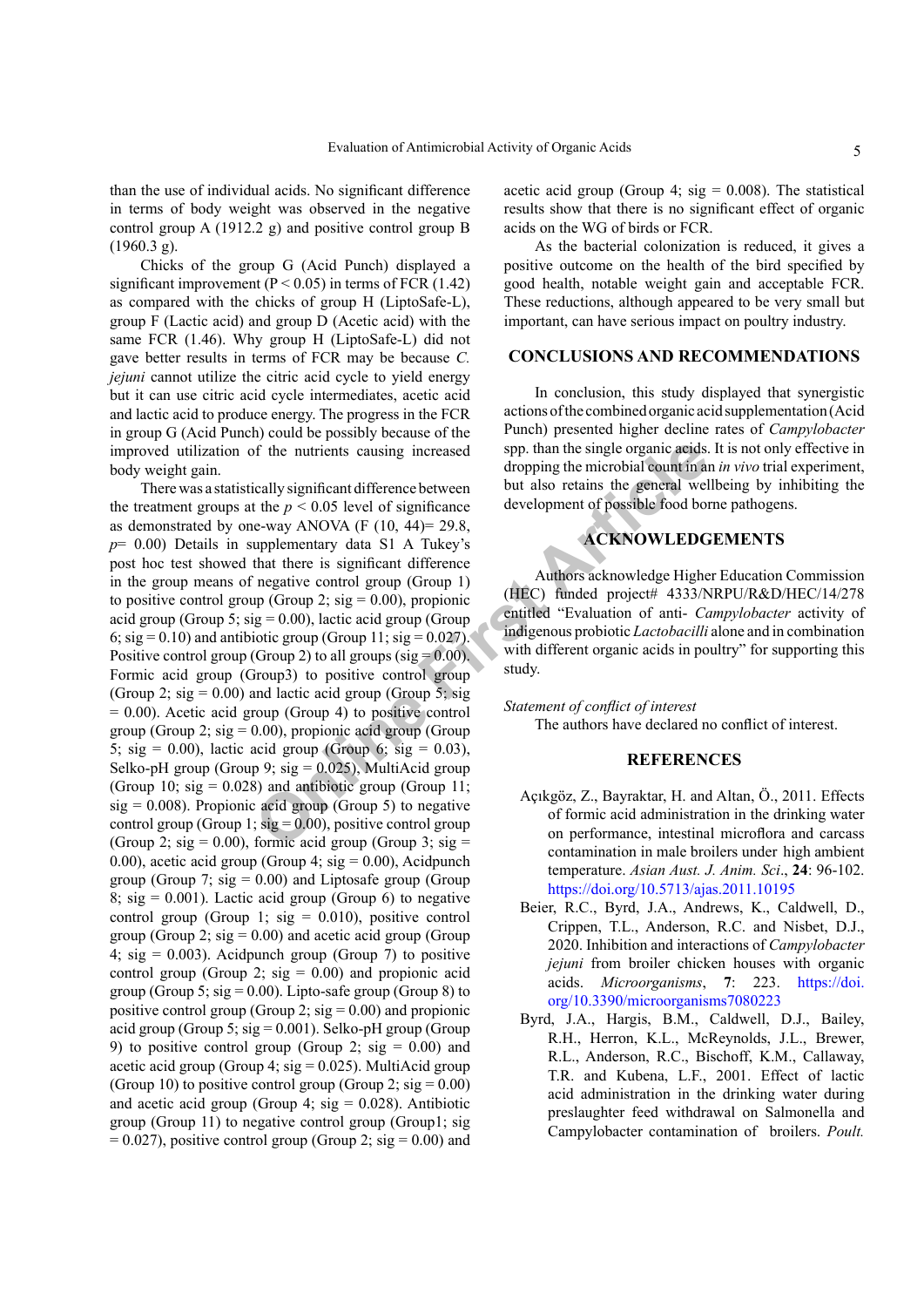than the use of individual acids. No significant difference in terms of body weight was observed in the negative control group A (1912.2 g) and positive control group B (1960.3 g).

Chicks of the group G (Acid Punch) displayed a significant improvement ( $P < 0.05$ ) in terms of FCR (1.42) as compared with the chicks of group H (LiptoSafe-L), group F (Lactic acid) and group D (Acetic acid) with the same FCR (1.46). Why group H (LiptoSafe-L) did not gave better results in terms of FCR may be because *C. jejuni* cannot utilize the citric acid cycle to yield energy but it can use citric acid cycle intermediates, acetic acid and lactic acid to produce energy. The progress in the FCR in group G (Acid Punch) could be possibly because of the improved utilization of the nutrients causing increased body weight gain.

of the nutrients causing increased<br>
intervalsed are the single organic acids.<br>
Intervalsed are the p < 0.05 level of significant difference between<br>
the p < 0.05 level of significant are development of possible food bot<br> There was a statistically significant difference between the treatment groups at the  $p < 0.05$  level of significance as demonstrated by one-way ANOVA (F  $(10, 44) = 29.8$ , *p*= 0.00) Details in supplementary data S1 A Tukey's post hoc test showed that there is significant difference in the group means of negative control group (Group 1) to positive control group (Group 2;  $sig = 0.00$ ), propionic acid group (Group 5;  $sig = 0.00$ ), lactic acid group (Group 6;  $sig = 0.10$ ) and antibiotic group (Group 11;  $sig = 0.027$ ). Positive control group (Group 2) to all groups (sig =  $0.00$ ). Formic acid group (Group3) to positive control group (Group 2;  $sig = 0.00$ ) and lactic acid group (Group 5; sig  $= 0.00$ ). Acetic acid group (Group 4) to positive control group (Group 2;  $sig = 0.00$ ), propionic acid group (Group 5; sig = 0.00), lactic acid group (Group 6; sig = 0.03), Selko-pH group (Group 9;  $sig = 0.025$ ), MultiAcid group (Group 10; sig =  $0.028$ ) and antibiotic group (Group 11;  $sig = 0.008$ ). Propionic acid group (Group 5) to negative control group (Group 1;  $sig = 0.00$ ), positive control group (Group 2; sig = 0.00), formic acid group (Group 3; sig = 0.00), acetic acid group (Group 4;  $sig = 0.00$ ), Acidpunch group (Group 7;  $sig = 0.00$ ) and Liptosafe group (Group 8; sig =  $0.001$ ). Lactic acid group (Group 6) to negative control group (Group 1;  $sig = 0.010$ ), positive control group (Group 2;  $sig = 0.00$ ) and acetic acid group (Group 4;  $\text{sig} = 0.003$ ). Acidpunch group (Group 7) to positive control group (Group 2;  $sig = 0.00$ ) and propionic acid group (Group 5;  $sig = 0.00$ ). Lipto-safe group (Group 8) to positive control group (Group 2;  $sig = 0.00$ ) and propionic acid group (Group 5;  $sig = 0.001$ ). Selko-pH group (Group 9) to positive control group (Group 2;  $sig = 0.00$ ) and acetic acid group (Group 4;  $sig = 0.025$ ). MultiAcid group (Group 10) to positive control group (Group 2;  $sig = 0.00$ ) and acetic acid group (Group 4;  $sig = 0.028$ ). Antibiotic group (Group 11) to negative control group (Group1; sig  $= 0.027$ ), positive control group (Group 2; sig  $= 0.00$ ) and

acetic acid group (Group 4;  $sig = 0.008$ ). The statistical results show that there is no significant effect of organic acids on the WG of birds or FCR.

As the bacterial colonization is reduced, it gives a positive outcome on the health of the bird specified by good health, notable weight gain and acceptable FCR. These reductions, although appeared to be very small but important, can have serious impact on poultry industry.

# **CONCLUSIONS AND RECOMMENDATIONS**

In conclusion, this study displayed that synergistic actions of the combined organic acid supplementation (Acid Punch) presented higher decline rates of *Campylobacter* spp. than the single organic acids. It is not only effective in dropping the microbial count in an *in vivo* trial experiment, but also retains the general wellbeing by inhibiting the development of possible food borne pathogens.

### **ACKNOWLEDGEMENTS**

Authors acknowledge Higher Education Commission (HEC) funded project# 4333/NRPU/R&D/HEC/14/278 entitled "Evaluation of anti- *Campylobacter* activity of indigenous probiotic *Lactobacilli* alone and in combination with different organic acids in poultry" for supporting this study.

#### *Statement of conflict of interest*

The authors have declared no conflict of interest.

### **REFERENCES**

- Açıkgöz, Z., Bayraktar, H. and Altan, Ӧ., 2011. Effects of formic acid administration in the drinking water on performance, intestinal microflora and carcass contamination in male broilers under high ambient temperature. *Asian Aust. J. Anim. Sci*., **24**: 96-102. <https://doi.org/10.5713/ajas.2011.10195>
- <span id="page-4-0"></span>Beier, R.C., Byrd, J.A., Andrews, K., Caldwell, D., Crippen, T.L., Anderson, R.C. and Nisbet, D.J., 2020. Inhibition and interactions of *Campylobacter jejuni* from broiler chicken houses with organic acids. *Microorganisms*, **7**: 223. [https://doi.](https://doi.org/10.3390/microorganisms7080223) [org/10.3390/microorganisms7080223](https://doi.org/10.3390/microorganisms7080223)
- Byrd, J.A., Hargis, B.M., Caldwell, D.J., Bailey, R.H., Herron, K.L., McReynolds, J.L., Brewer, R.L., Anderson, R.C., Bischoff, K.M., Callaway, T.R. and Kubena, L.F., 2001. Effect of lactic acid administration in the drinking water during preslaughter feed withdrawal on Salmonella and Campylobacter contamination of broilers. *Poult.*